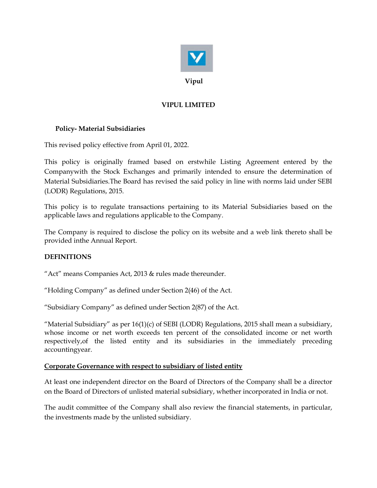

## VIPUL LIMITED

## Policy- Material Subsidiaries

This revised policy effective from April 01, 2022.

This policy is originally framed based on erstwhile Listing Agreement entered by the Companywith the Stock Exchanges and primarily intended to ensure the determination of Material Subsidiaries.The Board has revised the said policy in line with norms laid under SEBI (LODR) Regulations, 2015.

This policy is to regulate transactions pertaining to its Material Subsidiaries based on the applicable laws and regulations applicable to the Company.

The Company is required to disclose the policy on its website and a web link thereto shall be provided inthe Annual Report.

## DEFINITIONS

"Act" means Companies Act, 2013 & rules made thereunder.

"Holding Company" as defined under Section 2(46) of the Act.

"Subsidiary Company" as defined under Section 2(87) of the Act.

"Material Subsidiary" as per  $16(1)(c)$  of SEBI (LODR) Regulations, 2015 shall mean a subsidiary, whose income or net worth exceeds ten percent of the consolidated income or net worth respectively,of the listed entity and its subsidiaries in the immediately preceding accountingyear.

## Corporate Governance with respect to subsidiary of listed entity

At least one independent director on the Board of Directors of the Company shall be a director on the Board of Directors of unlisted material subsidiary, whether incorporated in India or not.

The audit committee of the Company shall also review the financial statements, in particular, the investments made by the unlisted subsidiary.